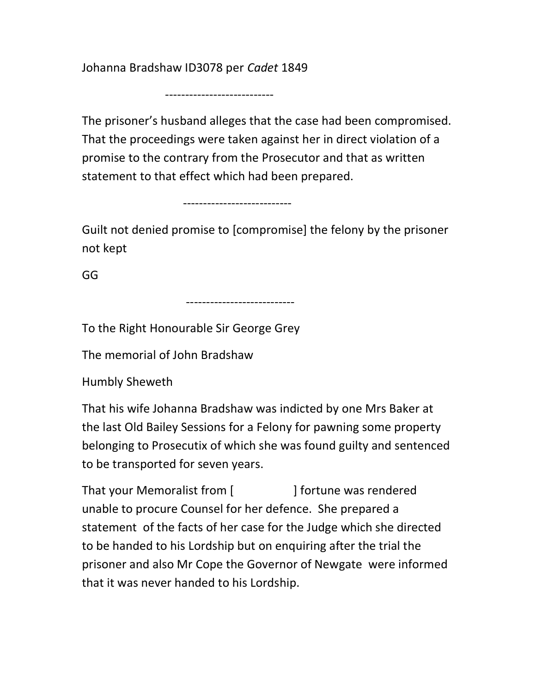Johanna Bradshaw ID3078 per Cadet 1849

---------------------------

The prisoner's husband alleges that the case had been compromised. That the proceedings were taken against her in direct violation of a promise to the contrary from the Prosecutor and that as written statement to that effect which had been prepared.

---------------------------

---------------------------

Guilt not denied promise to [compromise] the felony by the prisoner not kept

GG

To the Right Honourable Sir George Grey

The memorial of John Bradshaw

Humbly Sheweth

That his wife Johanna Bradshaw was indicted by one Mrs Baker at the last Old Bailey Sessions for a Felony for pawning some property belonging to Prosecutix of which she was found guilty and sentenced to be transported for seven years.

That your Memoralist from [ ] fortune was rendered unable to procure Counsel for her defence. She prepared a statement of the facts of her case for the Judge which she directed to be handed to his Lordship but on enquiring after the trial the prisoner and also Mr Cope the Governor of Newgate were informed that it was never handed to his Lordship.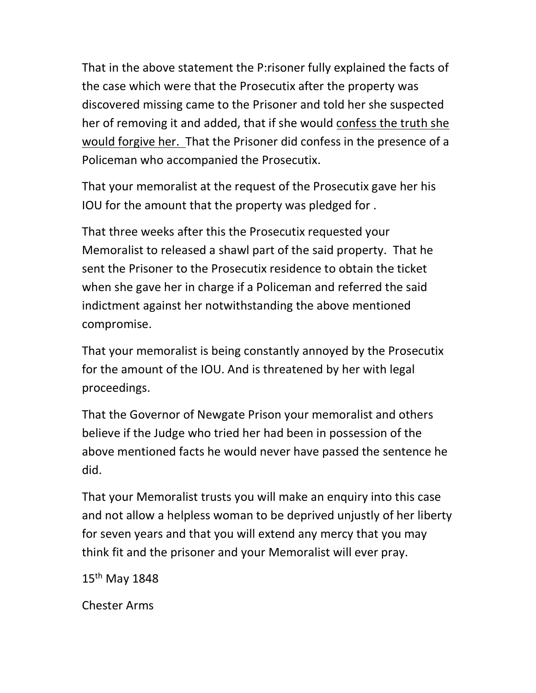That in the above statement the P:risoner fully explained the facts of the case which were that the Prosecutix after the property was discovered missing came to the Prisoner and told her she suspected her of removing it and added, that if she would confess the truth she would forgive her. That the Prisoner did confess in the presence of a Policeman who accompanied the Prosecutix.

That your memoralist at the request of the Prosecutix gave her his IOU for the amount that the property was pledged for .

That three weeks after this the Prosecutix requested your Memoralist to released a shawl part of the said property. That he sent the Prisoner to the Prosecutix residence to obtain the ticket when she gave her in charge if a Policeman and referred the said indictment against her notwithstanding the above mentioned compromise.

That your memoralist is being constantly annoyed by the Prosecutix for the amount of the IOU. And is threatened by her with legal proceedings.

That the Governor of Newgate Prison your memoralist and others believe if the Judge who tried her had been in possession of the above mentioned facts he would never have passed the sentence he did.

That your Memoralist trusts you will make an enquiry into this case and not allow a helpless woman to be deprived unjustly of her liberty for seven years and that you will extend any mercy that you may think fit and the prisoner and your Memoralist will ever pray.

15th May 1848

Chester Arms